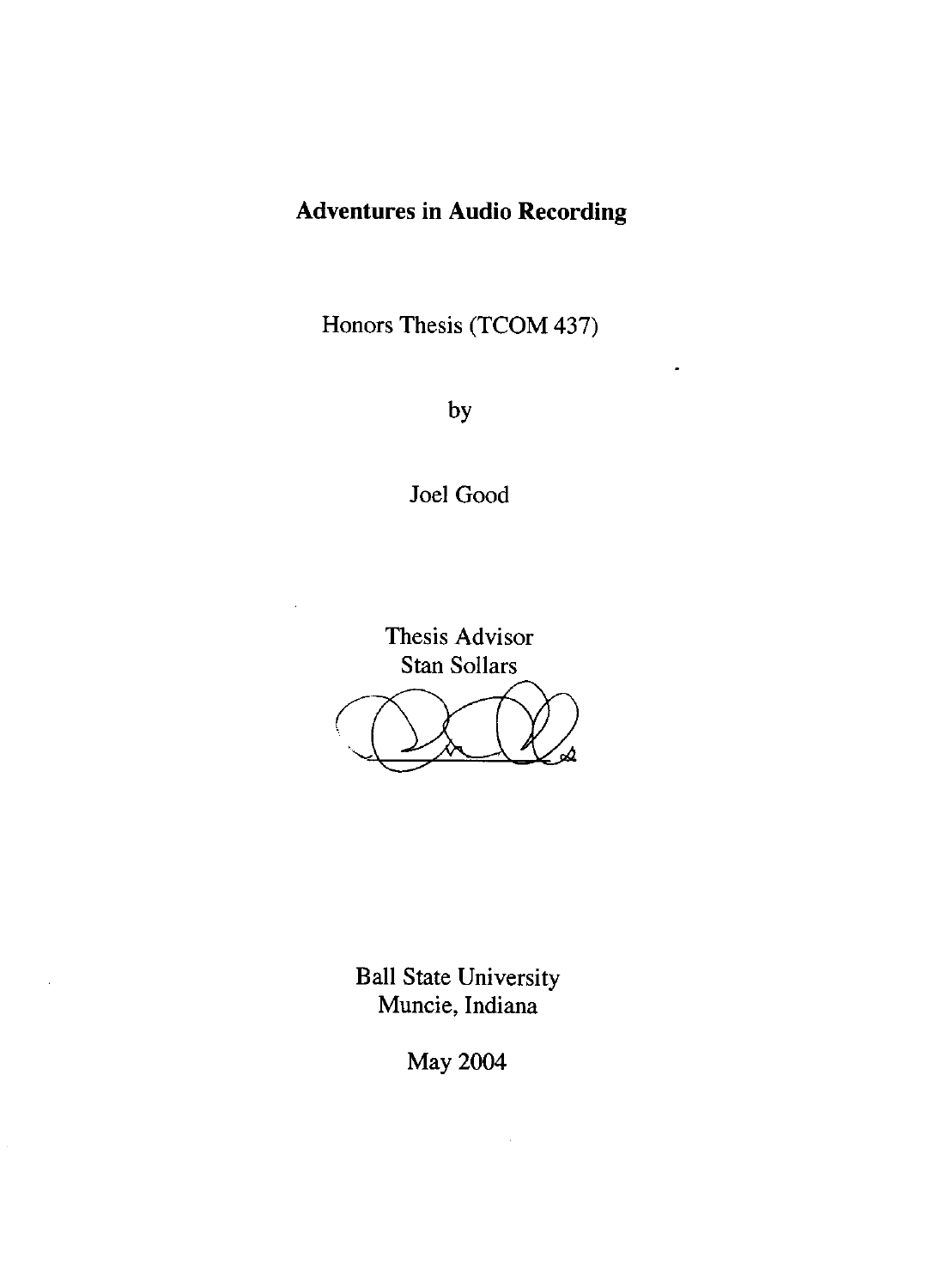#### **Adventures in Audio Recording**

Honors Thesis (TCOM 437)

by

Joel Good

Thesis Advisor Stan Sollars OLO ?

Ball State University Muncie, Indiana

 $\lambda$ 

May 2004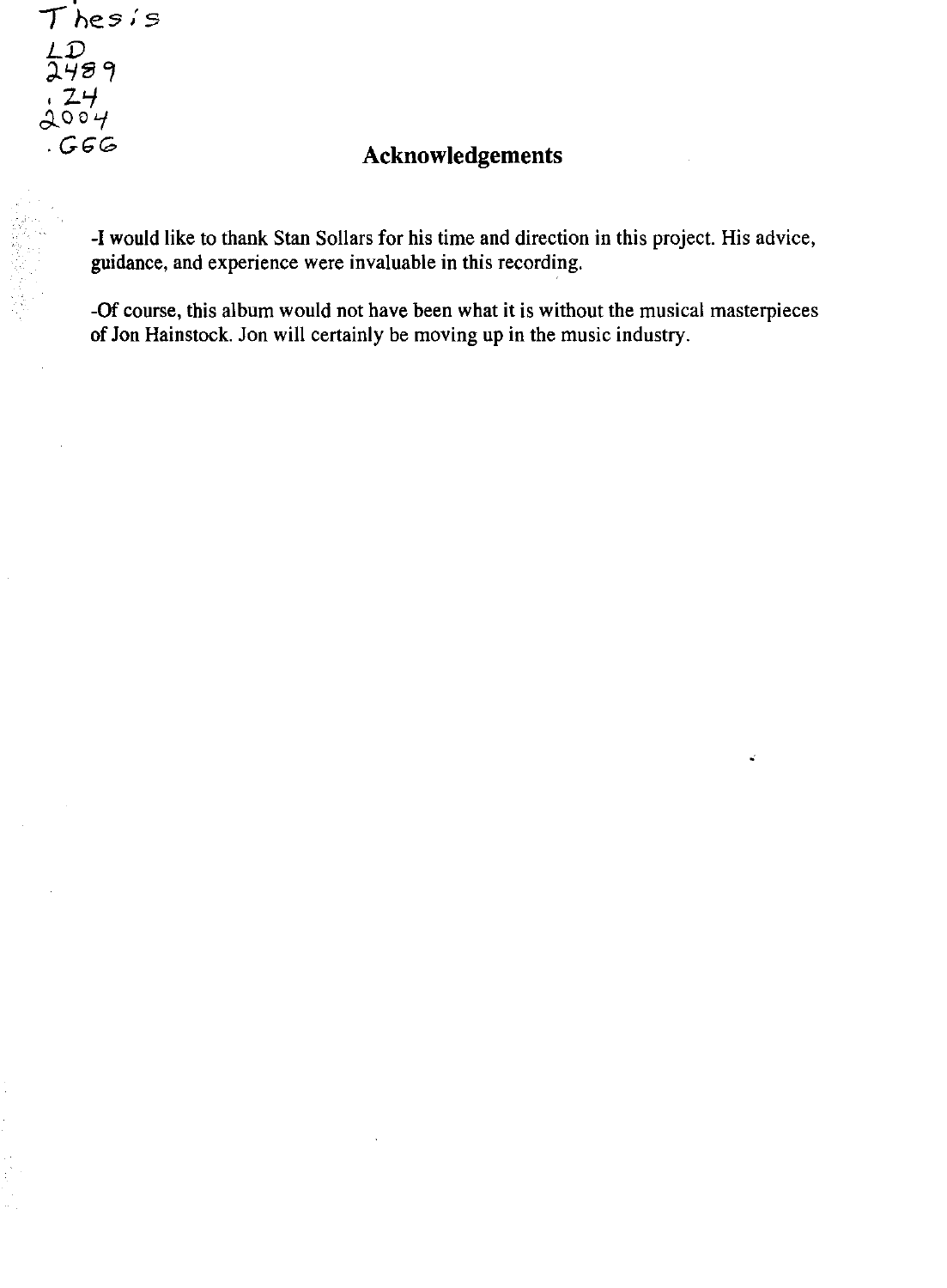$T$ *hesis LJ)*  วิษัย ๆ *.2'-1*   $\Delta$ 00'4

## *.GGG* **Acknowledgements**

-I would like to thank Stan Sollars for his time and direction in this project. His advice, guidance, and experience were invaluable in this recording.

-Of course, this album would not have been what it is without the musical masterpieces of Jon Hainstock. Jon will certainly be moving up in the music industry.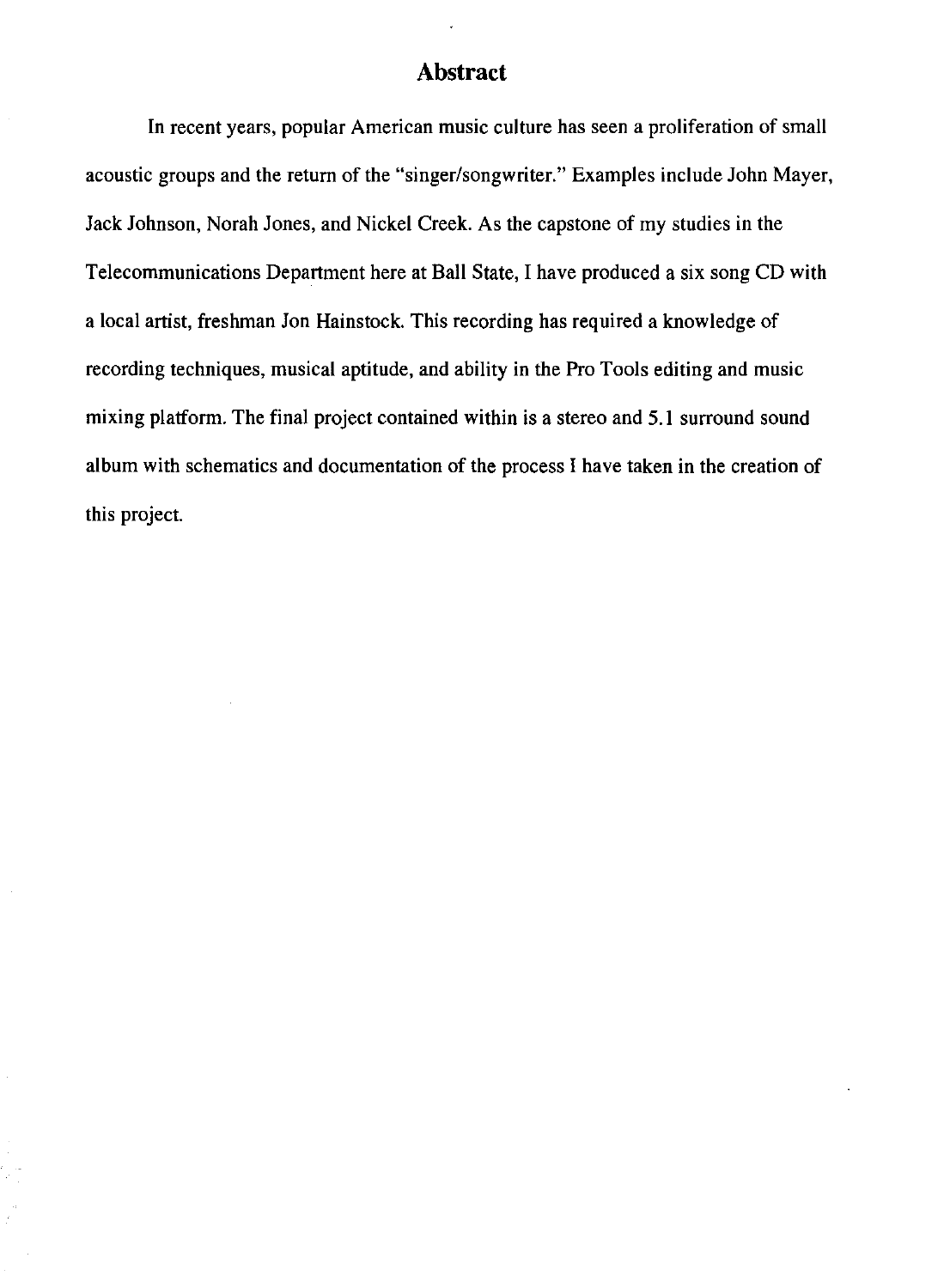#### **Abstract**

**In** recent years, popular American music culture has seen a proliferation of small acoustic groups and the return of the "singer/songwriter." Examples include John Mayer, Jack Johnson, Norah Jones, and Nickel Creek. As the capstone of my studies in the Telecommunications Department here at Ball State, I have produced a six song CD with a local artist, freshman Jon Hainstock. This recording has required a knowledge of recording techniques, musical aptitude, and ability in the Pro Tools editing and music mixing platform. The final project contained within is a stereo and 5.1 surround sound album with schematics and documentation of the process I have taken in the creation of this project.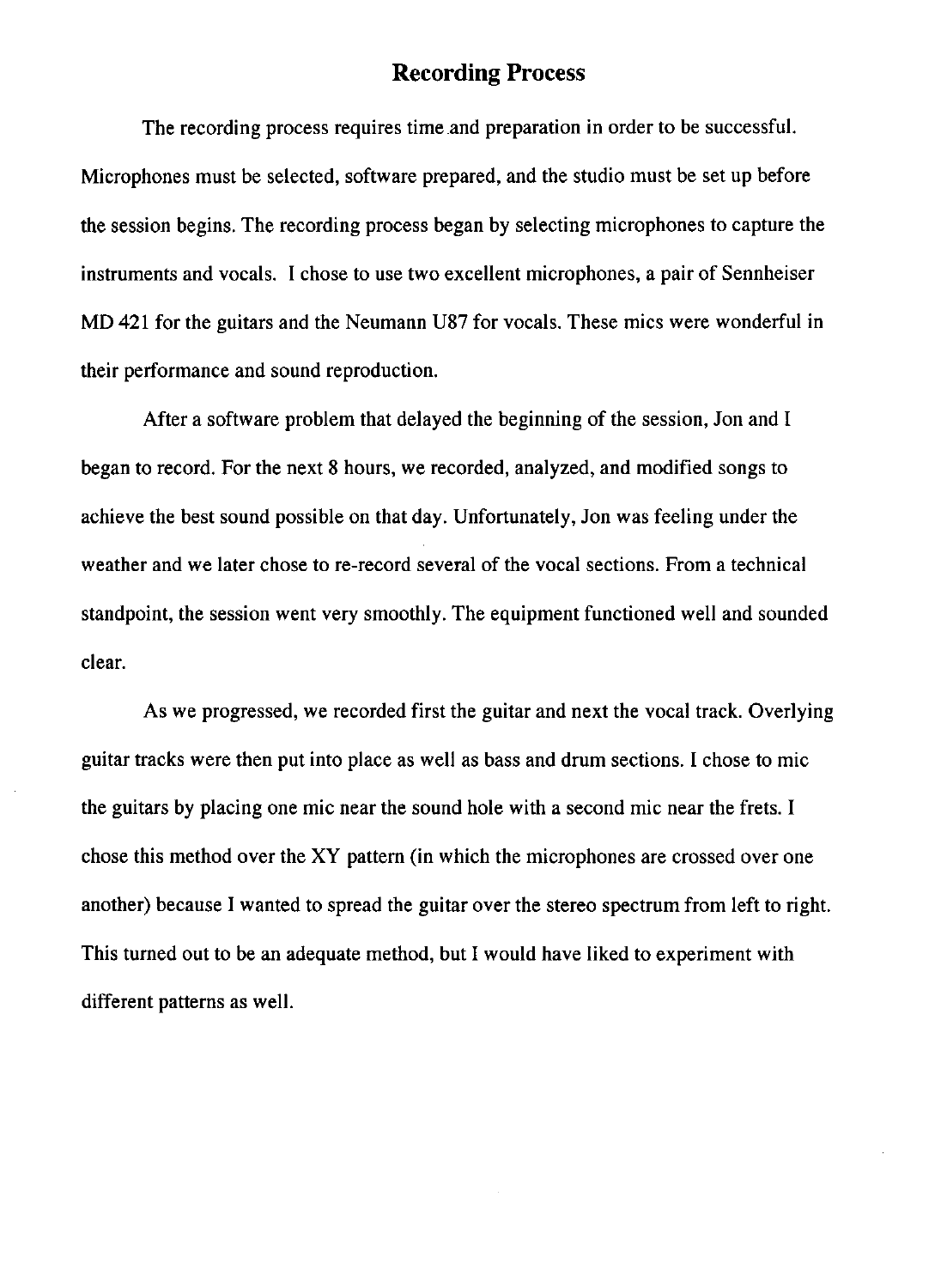#### **Recording Process**

The recording process requires time .and preparation in order to be successful. Microphones must be selected, software prepared, and the studio must be set up before the session begins. The recording process began by selecting microphones to capture the instruments and vocals. I chose to use two excellent microphones, a pair of Sennheiser MD 421 for the guitars and the Neumann U87 for vocals. These mics were wonderful in their performance and sound reproduction.

After a software problem that delayed the beginning of the session, Jon and I began to record. For the next 8 hours, we recorded, analyzed, and modified songs to achieve the best sound possible on that day. Unfortunately, Jon was feeling under the weather and we later chose to re-record several of the vocal sections. From a technical standpoint, the session went very smoothly. The equipment functioned well and sounded clear.

As we progressed, we recorded first the guitar and next the vocal track. Overlying guitar tracks were then put into place as well as bass and drum sections. I chose to mic the guitars by placing one mic near the sound hole with a second mic near the frets. I chose this method over the XY pattern (in which the microphones are crossed over one another) because I wanted to spread the guitar over the stereo spectrum from left to right. This turned out to be an adequate method, but I would have liked to experiment with different patterns as well.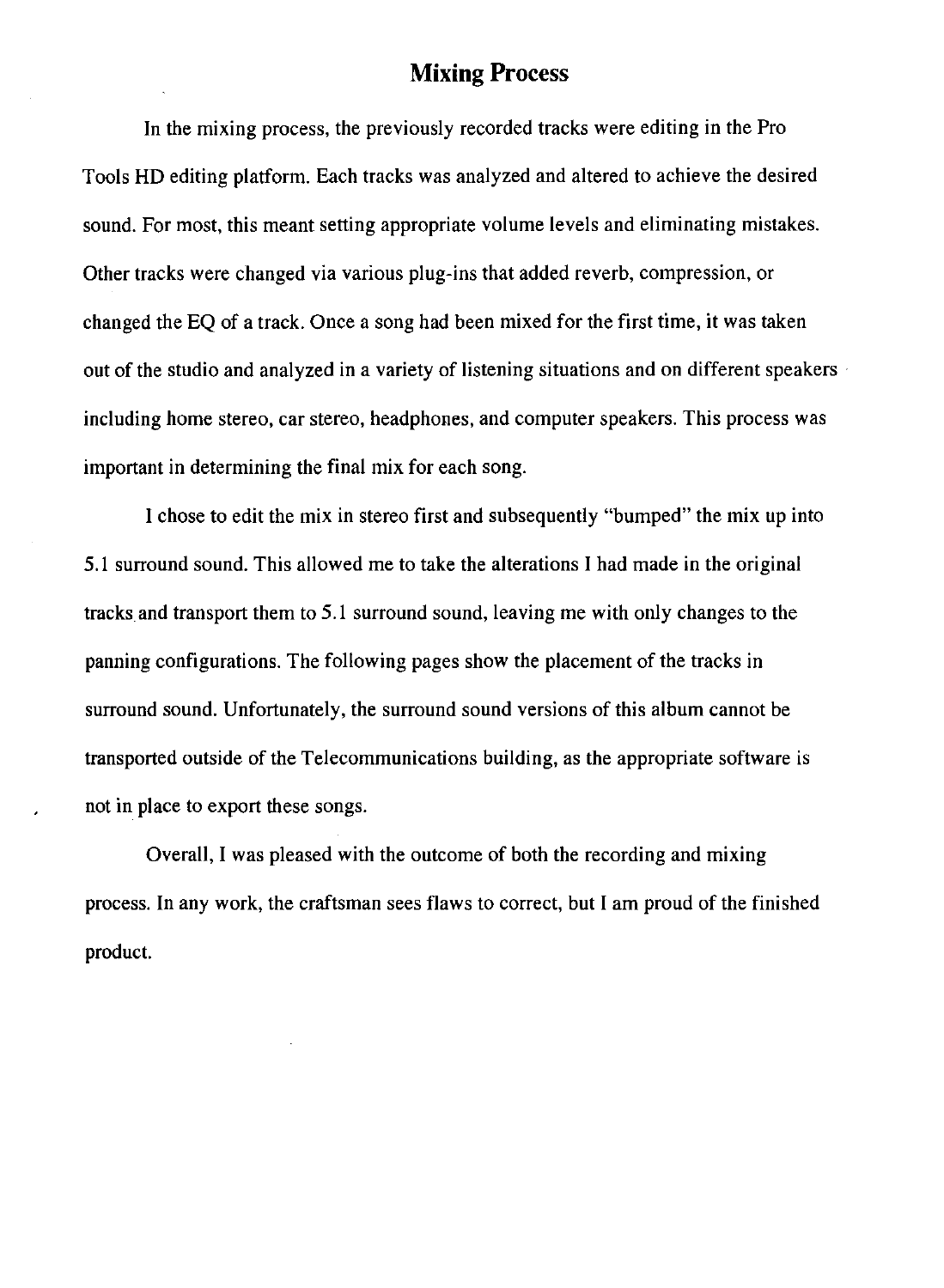#### **Mixing Process**

In the mixing process, the previously recorded tracks were editing in the Pro Tools HD editing platform. Each tracks was analyzed and altered to achieve the desired sound. For most, this meant setting appropriate volume levels and eliminating mistakes. Other tracks were changed via various plug-ins that added reverb, compression, or changed the EQ of a track. Once a song had been mixed for the first time, it was taken out of the studio and analyzed in a variety of listening situations and on different speakers  $\cdot$ including home stereo, car stereo, headphones, and computer speakers. This process was important in determining the final mix for each song.

I chose to edit the mix in stereo first and subsequently "bumped" the mix up into 5.1 surround sound. This allowed me to take the alterations I had made in the original tracksand transport them to 5.1 surround sound, leaving me with only changes to the panning configurations. The following pages show the placement of the tracks in surround sound. Unfortunately, the surround sound versions of this album cannot be transported outside of the Telecommunications building, as the appropriate software is not in place to export these songs.

Overall, I was pleased with the outcome of both the recording and mixing process. In any work, the craftsman sees flaws to correct, but I am proud of the finished product.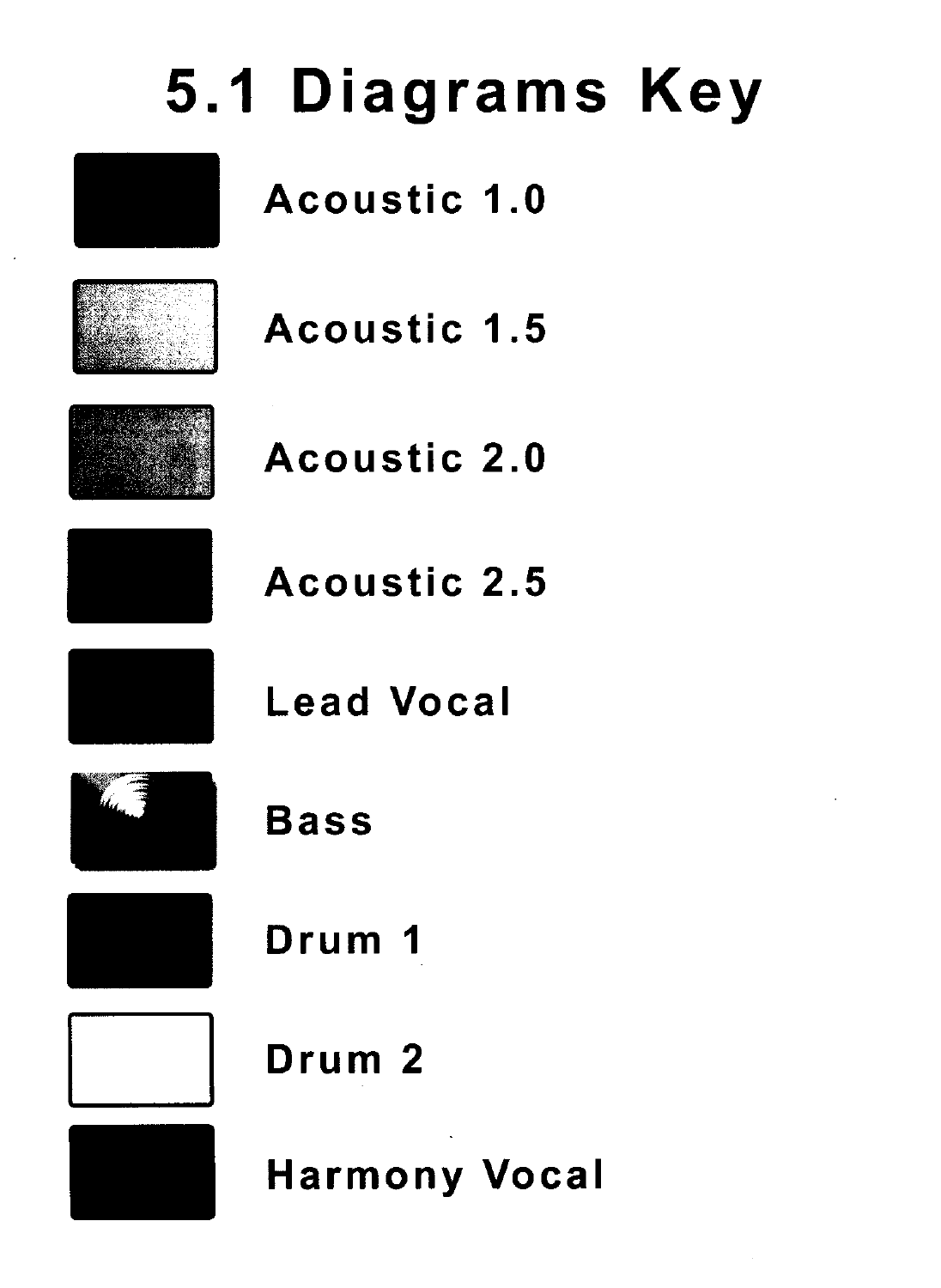# **5.1 Diagrams Key**

Acoustic 1.0



Acoustic 1.5



Acoustic 2.0



Acoustic 2.5



Lead Vocal



Bass



Drum 1



Drum 2



Harmony Vocal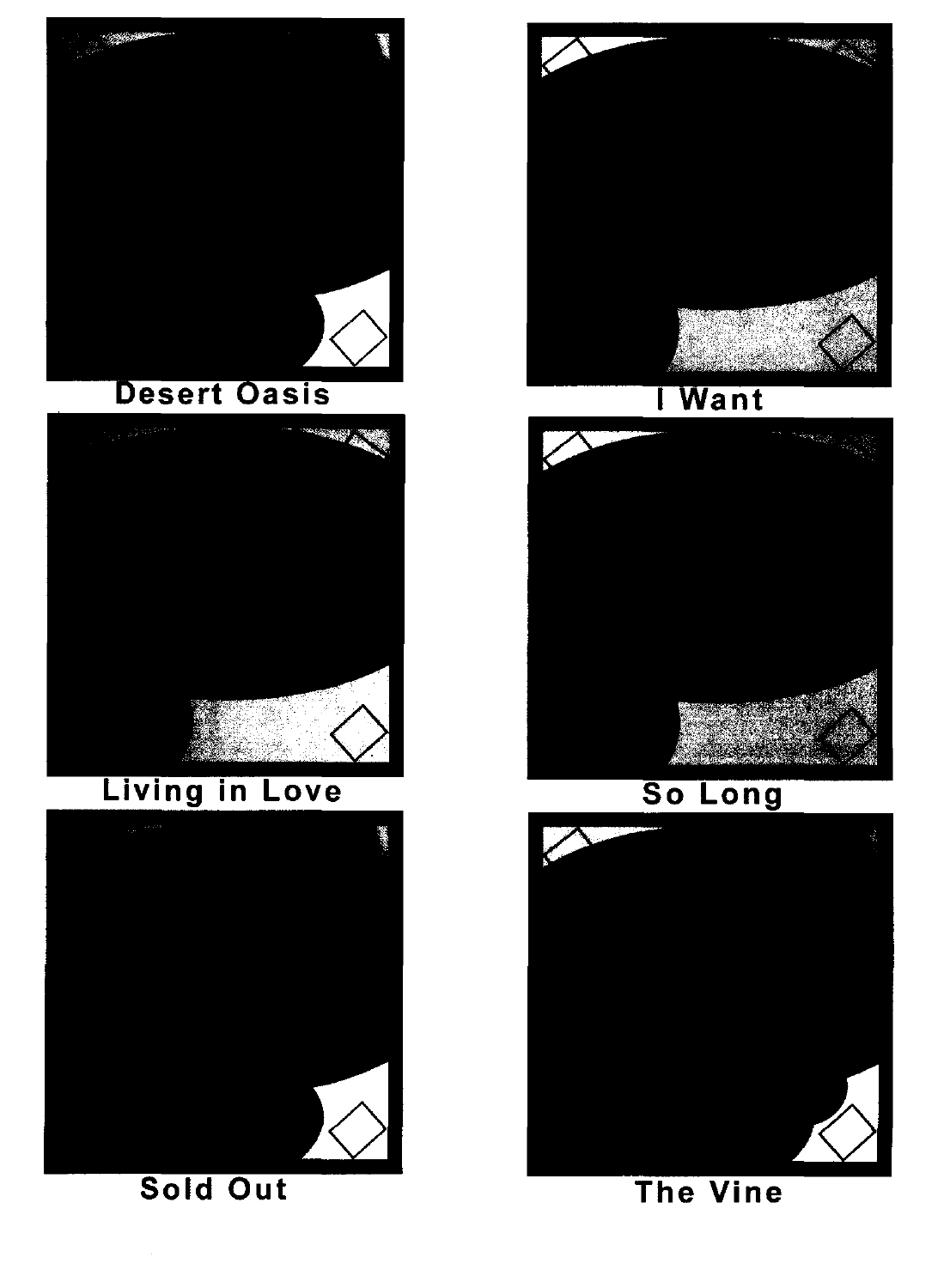

## **Desert Oasis**



# Living in Love



Sold Out



## I Want



## So Long



#### **The Vine**